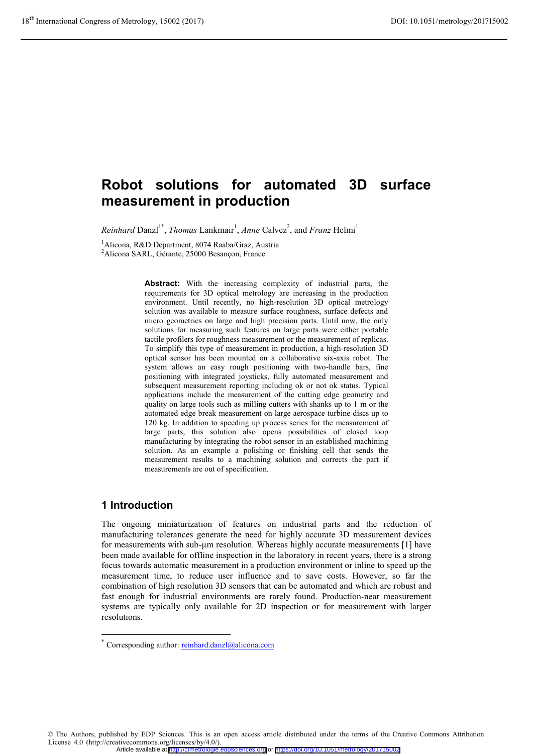# **Robot solutions for automated 3D surface measurement in production**

*Reinhard* Danzl<sup>1\*</sup>, *Thomas* Lankmair<sup>1</sup>, *Anne* Calvez<sup>2</sup>, and *Franz* Helmi<sup>1</sup>

<sup>1</sup> Alicona, R&D Department, 8074 Raaba/Graz, Austria

2 Alicona SARL, Gérante, 25000 Besançon, France

**Abstract:** With the increasing complexity of industrial parts, the requirements for 3D optical metrology are increasing in the production environment. Until recently, no high-resolution 3D optical metrology solution was available to measure surface roughness, surface defects and micro geometries on large and high precision parts. Until now, the only solutions for measuring such features on large parts were either portable tactile profilers for roughness measurement or the measurement of replicas. To simplify this type of measurement in production, a high-resolution 3D optical sensor has been mounted on a collaborative six-axis robot. The system allows an easy rough positioning with two-handle bars, fine positioning with integrated joysticks, fully automated measurement and subsequent measurement reporting including ok or not ok status. Typical applications include the measurement of the cutting edge geometry and quality on large tools such as milling cutters with shanks up to 1 m or the automated edge break measurement on large aerospace turbine discs up to 120 kg. In addition to speeding up process series for the measurement of large parts, this solution also opens possibilities of closed loop manufacturing by integrating the robot sensor in an established machining solution. As an example a polishing or finishing cell that sends the measurement results to a machining solution and corrects the part if measurements are out of specification.

### **1 Introduction**

-

The ongoing miniaturization of features on industrial parts and the reduction of manufacturing tolerances generate the need for highly accurate 3D measurement devices for measurements with sub-μm resolution. Whereas highly accurate measurements [1] have been made available for offline inspection in the laboratory in recent years, there is a strong focus towards automatic measurement in a production environment or inline to speed up the measurement time, to reduce user influence and to save costs. However, so far the combination of high resolution 3D sensors that can be automated and which are robust and fast enough for industrial environments are rarely found. Production-near measurement systems are typically only available for 2D inspection or for measurement with larger resolutions.

© The Authors, published by EDP Sciences. This is an open access article distributed under the terms of the Creative Commons Attribution License 4.0 (http://creativecommons.org/licenses/by/4.0/). Article available at <http://cfmetrologie.edpsciences.org> or <https://doi.org/10.1051/metrology/201715002>

Corresponding author: reinhard.danzl@alicona.com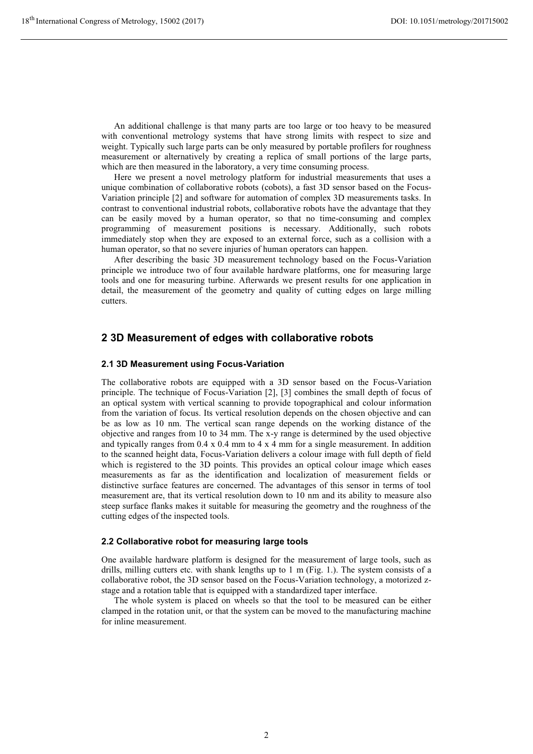An additional challenge is that many parts are too large or too heavy to be measured with conventional metrology systems that have strong limits with respect to size and weight. Typically such large parts can be only measured by portable profilers for roughness measurement or alternatively by creating a replica of small portions of the large parts, which are then measured in the laboratory, a very time consuming process.

Here we present a novel metrology platform for industrial measurements that uses a unique combination of collaborative robots (cobots), a fast 3D sensor based on the Focus-Variation principle [2] and software for automation of complex 3D measurements tasks. In contrast to conventional industrial robots, collaborative robots have the advantage that they can be easily moved by a human operator, so that no time-consuming and complex programming of measurement positions is necessary. Additionally, such robots immediately stop when they are exposed to an external force, such as a collision with a human operator, so that no severe injuries of human operators can happen.

After describing the basic 3D measurement technology based on the Focus-Variation principle we introduce two of four available hardware platforms, one for measuring large tools and one for measuring turbine. Afterwards we present results for one application in detail, the measurement of the geometry and quality of cutting edges on large milling cutters.

### **2 3D Measurement of edges with collaborative robots**

#### **2.1 3D Measurement using Focus-Variation**

The collaborative robots are equipped with a 3D sensor based on the Focus-Variation principle. The technique of Focus-Variation [2], [3] combines the small depth of focus of an optical system with vertical scanning to provide topographical and colour information from the variation of focus. Its vertical resolution depends on the chosen objective and can be as low as 10 nm. The vertical scan range depends on the working distance of the objective and ranges from 10 to 34 mm. The x-y range is determined by the used objective and typically ranges from  $0.4 \times 0.4$  mm to  $4 \times 4$  mm for a single measurement. In addition to the scanned height data, Focus-Variation delivers a colour image with full depth of field which is registered to the 3D points. This provides an optical colour image which eases measurements as far as the identification and localization of measurement fields or distinctive surface features are concerned. The advantages of this sensor in terms of tool measurement are, that its vertical resolution down to 10 nm and its ability to measure also steep surface flanks makes it suitable for measuring the geometry and the roughness of the cutting edges of the inspected tools.

#### **2.2 Collaborative robot for measuring large tools**

One available hardware platform is designed for the measurement of large tools, such as drills, milling cutters etc. with shank lengths up to 1 m (Fig. 1.). The system consists of a collaborative robot, the 3D sensor based on the Focus-Variation technology, a motorized zstage and a rotation table that is equipped with a standardized taper interface.

The whole system is placed on wheels so that the tool to be measured can be either clamped in the rotation unit, or that the system can be moved to the manufacturing machine for inline measurement.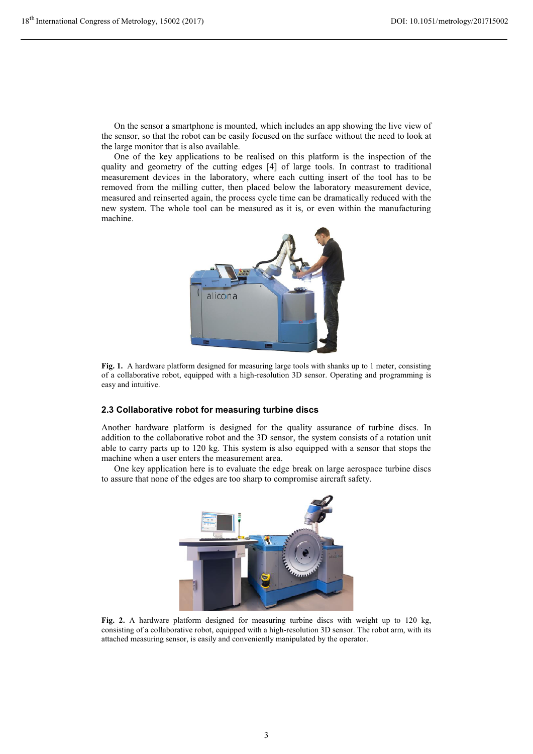On the sensor a smartphone is mounted, which includes an app showing the live view of the sensor, so that the robot can be easily focused on the surface without the need to look at the large monitor that is also available.

One of the key applications to be realised on this platform is the inspection of the quality and geometry of the cutting edges [4] of large tools. In contrast to traditional measurement devices in the laboratory, where each cutting insert of the tool has to be removed from the milling cutter, then placed below the laboratory measurement device, measured and reinserted again, the process cycle time can be dramatically reduced with the new system. The whole tool can be measured as it is, or even within the manufacturing machine.



Fig. 1. A hardware platform designed for measuring large tools with shanks up to 1 meter, consisting of a collaborative robot, equipped with a high-resolution 3D sensor. Operating and programming is easy and intuitive.

#### **2.3 Collaborative robot for measuring turbine discs**

Another hardware platform is designed for the quality assurance of turbine discs. In addition to the collaborative robot and the 3D sensor, the system consists of a rotation unit able to carry parts up to 120 kg. This system is also equipped with a sensor that stops the machine when a user enters the measurement area.

One key application here is to evaluate the edge break on large aerospace turbine discs to assure that none of the edges are too sharp to compromise aircraft safety.



**Fig. 2.** A hardware platform designed for measuring turbine discs with weight up to 120 kg, consisting of a collaborative robot, equipped with a high-resolution 3D sensor. The robot arm, with its attached measuring sensor, is easily and conveniently manipulated by the operator.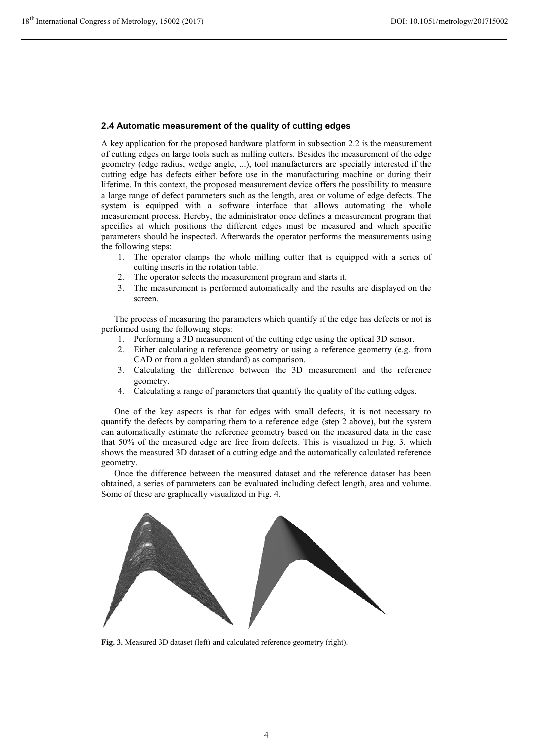#### **2.4 Automatic measurement of the quality of cutting edges**

A key application for the proposed hardware platform in subsection 2.2 is the measurement of cutting edges on large tools such as milling cutters. Besides the measurement of the edge geometry (edge radius, wedge angle, ...), tool manufacturers are specially interested if the cutting edge has defects either before use in the manufacturing machine or during their lifetime. In this context, the proposed measurement device offers the possibility to measure a large range of defect parameters such as the length, area or volume of edge defects. The system is equipped with a software interface that allows automating the whole measurement process. Hereby, the administrator once defines a measurement program that specifies at which positions the different edges must be measured and which specific parameters should be inspected. Afterwards the operator performs the measurements using the following steps:

- 1. The operator clamps the whole milling cutter that is equipped with a series of cutting inserts in the rotation table.
- 2. The operator selects the measurement program and starts it.
- 3. The measurement is performed automatically and the results are displayed on the screen.

The process of measuring the parameters which quantify if the edge has defects or not is performed using the following steps:

- 1. Performing a 3D measurement of the cutting edge using the optical 3D sensor.
- 2. Either calculating a reference geometry or using a reference geometry (e.g. from CAD or from a golden standard) as comparison.
- 3. Calculating the difference between the 3D measurement and the reference geometry.
- 4. Calculating a range of parameters that quantify the quality of the cutting edges.

One of the key aspects is that for edges with small defects, it is not necessary to quantify the defects by comparing them to a reference edge (step 2 above), but the system can automatically estimate the reference geometry based on the measured data in the case that 50% of the measured edge are free from defects. This is visualized in Fig. 3. which shows the measured 3D dataset of a cutting edge and the automatically calculated reference geometry.

Once the difference between the measured dataset and the reference dataset has been obtained, a series of parameters can be evaluated including defect length, area and volume. Some of these are graphically visualized in Fig. 4.



**Fig. 3.** Measured 3D dataset (left) and calculated reference geometry (right).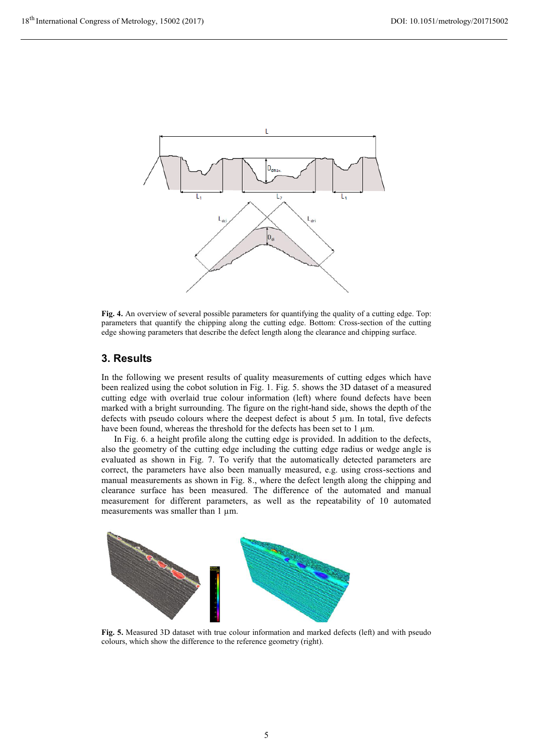

**Fig. 4.** An overview of several possible parameters for quantifying the quality of a cutting edge. Top: parameters that quantify the chipping along the cutting edge. Bottom: Cross-section of the cutting edge showing parameters that describe the defect length along the clearance and chipping surface.

### **3. Results**

In the following we present results of quality measurements of cutting edges which have been realized using the cobot solution in Fig. 1. Fig. 5. shows the 3D dataset of a measured cutting edge with overlaid true colour information (left) where found defects have been marked with a bright surrounding. The figure on the right-hand side, shows the depth of the defects with pseudo colours where the deepest defect is about 5 μm. In total, five defects have been found, whereas the threshold for the defects has been set to 1 μm.

In Fig. 6. a height profile along the cutting edge is provided. In addition to the defects, also the geometry of the cutting edge including the cutting edge radius or wedge angle is evaluated as shown in Fig. 7. To verify that the automatically detected parameters are correct, the parameters have also been manually measured, e.g. using cross-sections and manual measurements as shown in Fig. 8., where the defect length along the chipping and clearance surface has been measured. The difference of the automated and manual measurement for different parameters, as well as the repeatability of 10 automated measurements was smaller than 1 μm.



**Fig. 5.** Measured 3D dataset with true colour information and marked defects (left) and with pseudo colours, which show the difference to the reference geometry (right).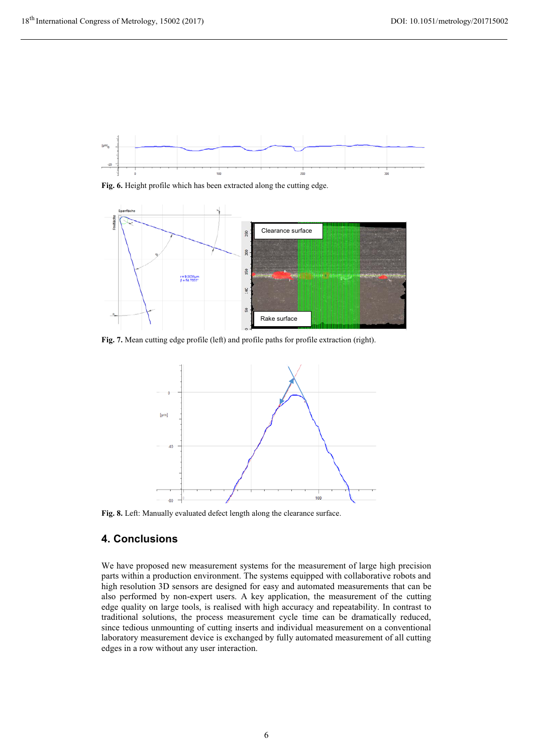

**Fig. 6.** Height profile which has been extracted along the cutting edge.



Fig. 7. Mean cutting edge profile (left) and profile paths for profile extraction (right).



**Fig. 8.** Left: Manually evaluated defect length along the clearance surface.

# **4. Conclusions**

We have proposed new measurement systems for the measurement of large high precision parts within a production environment. The systems equipped with collaborative robots and high resolution 3D sensors are designed for easy and automated measurements that can be also performed by non-expert users. A key application, the measurement of the cutting edge quality on large tools, is realised with high accuracy and repeatability. In contrast to traditional solutions, the process measurement cycle time can be dramatically reduced, since tedious unmounting of cutting inserts and individual measurement on a conventional laboratory measurement device is exchanged by fully automated measurement of all cutting edges in a row without any user interaction.